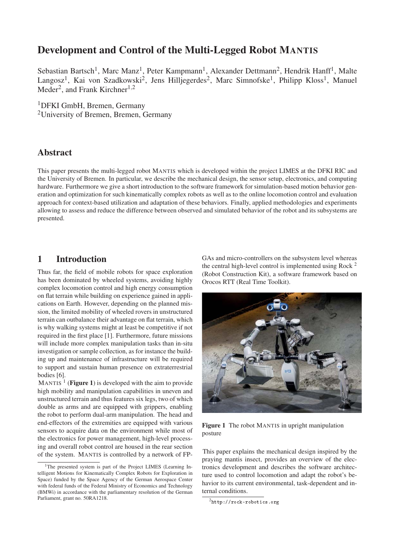# Development and Control of the Multi-Legged Robot MANTIS

Sebastian Bartsch<sup>1</sup>, Marc Manz<sup>1</sup>, Peter Kampmann<sup>1</sup>, Alexander Dettmann<sup>2</sup>, Hendrik Hanff<sup>1</sup>, Malte Langosz<sup>1</sup>, Kai von Szadkowski<sup>2</sup>, Jens Hilljegerdes<sup>2</sup>, Marc Simnofske<sup>1</sup>, Philipp Kloss<sup>1</sup>, Manuel Meder<sup>2</sup>, and Frank Kirchner<sup>1,2</sup>

1DFKI GmbH, Bremen, Germany

2University of Bremen, Bremen, Germany

### Abstract

This paper presents the multi-legged robot MANTIS which is developed within the project LIMES at the DFKI RIC and the University of Bremen. In particular, we describe the mechanical design, the sensor setup, electronics, and computing hardware. Furthermore we give a short introduction to the software framework for simulation-based motion behavior generation and optimization for such kinematically complex robots as well as to the online locomotion control and evaluation approach for context-based utilization and adaptation of these behaviors. Finally, applied methodologies and experiments allowing to assess and reduce the difference between observed and simulated behavior of the robot and its subsystems are presented.

## 1 Introduction

Thus far, the field of mobile robots for space exploration has been dominated by wheeled systems, avoiding highly complex locomotion control and high energy consumption on flat terrain while building on experience gained in applications on Earth. However, depending on the planned mission, the limited mobility of wheeled rovers in unstructured terrain can outbalance their advantage on flat terrain, which is why walking systems might at least be competitive if not required in the first place [1]. Furthermore, future missions will include more complex manipulation tasks than in-situ investigation or sample collection, as for instance the building up and maintenance of infrastructure will be required to support and sustain human presence on extraterrestrial bodies [6].

MANTIS  $<sup>1</sup>$  (Figure 1) is developed with the aim to provide</sup> high mobility and manipulation capabilities in uneven and unstructured terrain and thus features six legs, two of which double as arms and are equipped with grippers, enabling the robot to perform dual-arm manipulation. The head and end-effectors of the extremities are equipped with various sensors to acquire data on the environment while most of the electronics for power management, high-level processing and overall robot control are housed in the rear section of the system. MANTIS is controlled by a network of FP- GAs and micro-controllers on the subsystem level whereas the central high-level control is implemented using Rock  $^2$ (Robot Construction Kit), a software framework based on Orocos RTT (Real Time Toolkit).



Figure 1 The robot MANTIS in upright manipulation posture

This paper explains the mechanical design inspired by the praying mantis insect, provides an overview of the electronics development and describes the software architecture used to control locomotion and adapt the robot's behavior to its current environmental, task-dependent and internal conditions.

<sup>&</sup>lt;sup>1</sup>The presented system is part of the Project LIMES (Learning Intelligent Motions for Kinematically Complex Robots for Exploration in Space) funded by the Space Agency of the German Aerospace Center with federal funds of the Federal Ministry of Economics and Technology (BMWi) in accordance with the parliamentary resolution of the German Parliament, grant no. 50RA1218.

 $^2$ http://rock-robotics.org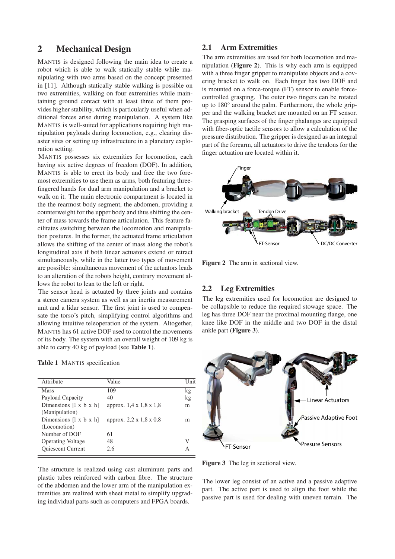### 2 Mechanical Design

MANTIS is designed following the main idea to create a robot which is able to walk statically stable while manipulating with two arms based on the concept presented in [11]. Although statically stable walking is possible on two extremities, walking on four extremities while maintaining ground contact with at least three of them provides higher stability, which is particularly useful when additional forces arise during manipulation. A system like MANTIS is well-suited for applications requiring high manipulation payloads during locomotion, e.g., clearing disaster sites or setting up infrastructure in a planetary exploration setting.

MANTIS possesses six extremities for locomotion, each having six active degrees of freedom (DOF). In addition, MANTIS is able to erect its body and free the two foremost extremities to use them as arms, both featuring threefingered hands for dual arm manipulation and a bracket to walk on it. The main electronic compartment is located in the the rearmost body segment, the abdomen, providing a counterweight for the upper body and thus shifting the center of mass towards the frame articulation. This feature facilitates switching between the locomotion and manipulation postures. In the former, the actuated frame articulation allows the shifting of the center of mass along the robot's longitudinal axis if both linear actuators extend or retract simultaneously, while in the latter two types of movement are possible: simultaneous movement of the actuators leads to an alteration of the robots height, contrary movement allows the robot to lean to the left or right.

The sensor head is actuated by three joints and contains a stereo camera system as well as an inertia measurement unit and a lidar sensor. The first joint is used to compensate the torso's pitch, simplifying control algorithms and allowing intuitive teleoperation of the system. Altogether, MANTIS has 61 active DOF used to control the movements of its body. The system with an overall weight of 109 kg is able to carry 40 kg of payload (see Table 1).

|  |  | <b>Table 1</b> MANTIS specification |
|--|--|-------------------------------------|
|--|--|-------------------------------------|

| Attribute                          | Value                               | Unit |
|------------------------------------|-------------------------------------|------|
| <b>Mass</b>                        | 109                                 | kg   |
| Payload Capacity                   | 40                                  | kg   |
| Dimensions $[1 \times b \times h]$ | approx. 1,4 x 1,8 x 1,8             | m    |
| (Manipulation)                     |                                     |      |
| Dimensions $[1 \times b \times h]$ | approx. $2,2 \times 1,8 \times 0,8$ | m    |
| (Locomotion)                       |                                     |      |
| Number of DOF                      | 61                                  |      |
| <b>Operating Voltage</b>           | 48                                  |      |
| <b>Quiescent Current</b>           | 2.6                                 |      |
|                                    |                                     |      |

The structure is realized using cast aluminum parts and plastic tubes reinforced with carbon fibre. The structure of the abdomen and the lower arm of the manipulation extremities are realized with sheet metal to simplify upgrading individual parts such as computers and FPGA boards.

#### 2.1 Arm Extremities

The arm extremities are used for both locomotion and manipulation (Figure 2). This is why each arm is equipped with a three finger gripper to manipulate objects and a covering bracket to walk on. Each finger has two DOF and is mounted on a force-torque (FT) sensor to enable forcecontrolled grasping. The outer two fingers can be rotated up to 180◦ around the palm. Furthermore, the whole gripper and the walking bracket are mounted on an FT sensor. The grasping surfaces of the finger phalanges are equipped with fiber-optic tactile sensors to allow a calculation of the pressure distribution. The gripper is designed as an integral part of the forearm, all actuators to drive the tendons for the finger actuation are located within it.



Figure 2 The arm in sectional view.

#### 2.2 Leg Extremities

The leg extremities used for locomotion are designed to be collapsible to reduce the required stowage space. The leg has three DOF near the proximal mounting flange, one knee like DOF in the middle and two DOF in the distal ankle part (Figure 3).



Figure 3 The leg in sectional view.

The lower leg consist of an active and a passive adaptive part. The active part is used to align the foot while the passive part is used for dealing with uneven terrain. The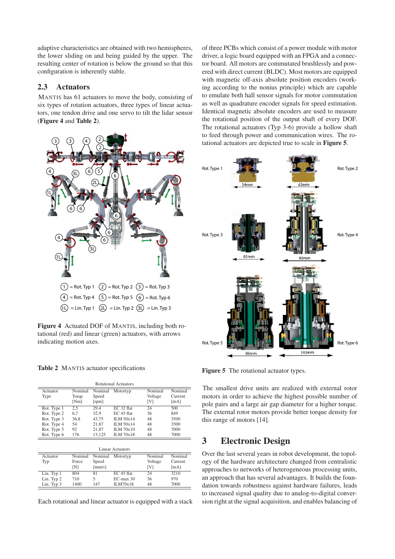adaptive characteristics are obtained with two hemispheres, the lower sliding on and being guided by the upper. The resulting center of rotation is below the ground so that this configuration is inherently stable.

#### 2.3 Actuators

MANTIS has 61 actuators to move the body, consisting of six types of rotation actuators, three types of linear actuators, one tendon drive and one servo to tilt the lidar sensor (Figure 4 and Table 2).



Figure 4 Actuated DOF of MANTIS, including both rotational (red) and linear (green) actuators, with arrows indicating motion axes.

Table 2 MANTIS actuator specifications

Lin. Typ 3

| <b>Rotational Actuators</b>                                                            |                                       |                                                   |                                                                                                   |                                  |                                            |  |  |
|----------------------------------------------------------------------------------------|---------------------------------------|---------------------------------------------------|---------------------------------------------------------------------------------------------------|----------------------------------|--------------------------------------------|--|--|
| Actuator<br>Type                                                                       | Nominal<br>Torqe<br>[Nm]              | Nominal<br>Speed<br>[ <i>rpm</i> ]                | Motortyp                                                                                          | Nominal<br>Voltage<br>[V]        | Nominal<br>Current<br>[mA]                 |  |  |
| Rot. Type 1<br>Rot. Type 2<br>Rot. Type 3<br>Rot. Type 4<br>Rot. Type 5<br>Rot. Type 6 | 2,5<br>6,7<br>36,8<br>54<br>92<br>176 | 29,4<br>32,9<br>43,75<br>21,87<br>21.87<br>13,125 | EC 32 flat<br>$EC$ 45 flat<br>$ILM$ 50 $x14$<br><b>ILM 50x14</b><br>ILM 70x10<br><b>ILM 70x18</b> | 24<br>36<br>48<br>48<br>48<br>48 | 500<br>849<br>3500<br>3500<br>7000<br>7000 |  |  |
| <b>Linear Actuators</b>                                                                |                                       |                                                   |                                                                                                   |                                  |                                            |  |  |
| Actuator<br>Typ                                                                        | Nominal<br>Force<br>[N]               | Nominal<br>Speed<br>$\lceil$ mm/s $\rceil$        | Motortyp                                                                                          | Nominal<br>Voltage<br>[V]        | Nominal<br>Current<br>[mA]                 |  |  |
| Lin. Typ 1<br>Lin. Typ 2                                                               | 804<br>710                            | 81<br>5                                           | EC 45 flat<br>$EC$ -max 30                                                                        | 24<br>36                         | 3210<br>970                                |  |  |

Each rotational and linear actuator is equipped with a stack

710 5 EC-max 30 36 970<br>1400 147 ILM70x18 48 7000

of three PCBs which consist of a power module with motor driver, a logic board equipped with an FPGA and a connector board. All motors are commutated brushlessly and powered with direct current (BLDC). Most motors are equipped with magnetic off-axis absolute position encoders (working according to the nonius principle) which are capable to emulate both hall sensor signals for motor commutation as well as quadrature encoder signals for speed estimation. Identical magnetic absolute encoders are used to measure the rotational position of the output shaft of every DOF. The rotational actuators (Typ 3-6) provide a hollow shaft to feed through power and communication wires. The rotational actuators are depicted true to scale in Figure 5.



Figure 5 The rotational actuator types.

The smallest drive units are realized with external rotor motors in order to achieve the highest possible number of pole pairs and a large air gap diameter for a higher torque. The external rotor motors provide better torque density for this range of motors [14].

## 3 Electronic Design

Over the last several years in robot development, the topology of the hardware architecture changed from centralistic approaches to networks of heterogeneous processing units, an approach that has several advantages. It builds the foundation towards robustness against hardware failures, leads to increased signal quality due to analog-to-digital conversion right at the signal acquisition, and enables balancing of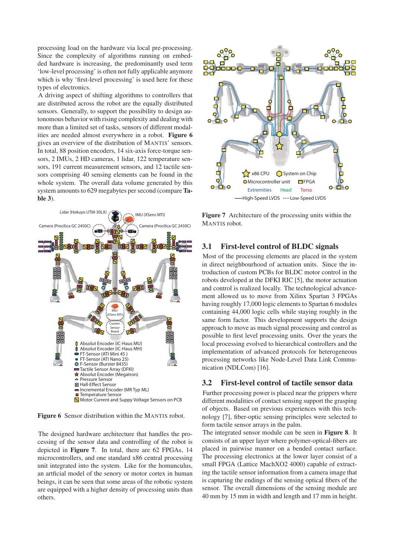processing load on the hardware via local pre-processing. Since the complexity of algorithms running on embedded hardware is increasing, the predominantly used term 'low-level processing' is often not fully applicable anymore which is why 'first-level processing' is used here for these types of electronics.

A driving aspect of shifting algorithms to controllers that are distributed across the robot are the equally distributed sensors. Generally, to support the possibility to design autonomous behavior with rising complexity and dealing with more than a limited set of tasks, sensors of different modalities are needed almost everywhere in a robot. Figure 6 gives an overview of the distribution of MANTIS' sensors. In total, 88 position encoders, 14 six-axis force-torque sensors, 2 IMUs, 2 HD cameras, 1 lidar, 122 temperature sensors, 191 current measurement sensors, and 12 tactile sensors comprising 40 sensing elements can be found in the whole system. The overall data volume generated by this system amounts to 629 megabytes per second (compare Table 3).



Figure 6 Sensor distribution within the MANTIS robot.

The designed hardware architecture that handles the processing of the sensor data and controlling of the robot is depicted in Figure 7. In total, there are 62 FPGAs, 14 microcontrollers, and one standard x86 central processing unit integrated into the system. Like for the homunculus, an artficial model of the senory or motor cortex in human beings, it can be seen that some areas of the robotic system are equipped with a higher density of processing units than others.



-High-Speed LVDS ....Low-Speed LVDS

Figure 7 Architecture of the processing units within the MANTIS robot.

#### 3.1 First-level control of BLDC signals

Most of the processing elements are placed in the system in direct neighbourhood of actuation units. Since the introduction of custom PCBs for BLDC motor control in the robots developed at the DFKI RIC [5], the motor actuation and control is realized locally. The technological advancement allowed us to move from Xilinx Spartan 3 FPGAs having roughly 17,000 logic elements to Spartan 6 modules containing 44,000 logic cells while staying roughly in the same form factor. This development supports the design approach to move as much signal processing and control as possible to first level processing units. Over the years the local processing evolved to hierarchical controllers and the implementation of advanced protocols for heterogeneous processing networks like Node-Level Data Link Communication (NDLCom) [16].

#### 3.2 First-level control of tactile sensor data

Further processing power is placed near the grippers where different modalities of contact sensing support the grasping of objects. Based on previous experiences with this technology [7], fiber-optic sensing principles were selected to form tactile sensor arrays in the palm.

The integrated sensor module can be seen in Figure 8. It consists of an upper layer where polymer-optical-fibers are placed in pairwise manner on a bended contact surface. The processing electronics at the lower layer consist of a small FPGA (Lattice MachXO2 4000) capable of extracting the tactile sensor information from a camera image that is capturing the endings of the sensing optical fibers of the sensor. The overall dimensions of the sensing module are 40 mm by 15 mm in width and length and 17 mm in height.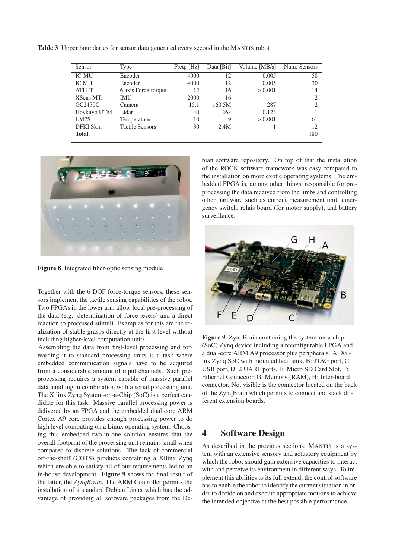Table 3 Upper boundaries for sensor data generated every second in the MANTIS robot

| Sensor        | Type                   | Freq. [Hz] | Data [Bit] | Volume [MB/s] | Num. Sensors   |
|---------------|------------------------|------------|------------|---------------|----------------|
| <b>IC-MU</b>  | Encoder                | 4000       | 12         | 0.005         | 58             |
| <b>IC MH</b>  | Encoder                | 4000       | 12         | 0.005         | 30             |
| <b>ATI FT</b> | 6 axis Force-torque    | 12         | 16         | > 0.001       | 14             |
| XSens MTi     | IMU                    | 2000       | 16         |               | $\overline{2}$ |
| GC2450C       | Camera                 | 15.1       | 160.5M     | 287           | 2              |
| Hoykuyo UTM   | Lidar                  | 40         | 26k        | 0.123         |                |
| LM75          | Temperature            | 10         | 9          | > 0.001       | 61             |
| DFKI Skin     | <b>Tactile Sensors</b> | 30         | 2.4M       |               | 12             |
| Total:        |                        |            |            |               | 180            |



Figure 8 Integrated fiber-optic sensing module

Together with the 6 DOF force-torque sensors, these sensors implement the tactile sensing capabilities of the robot. Two FPGAs in the lower arm allow local pre-processing of the data (e.g. determination of force levers) and a direct reaction to processed stimuli. Examples for this are the realization of stable grasps directly at the first level without including higher-level computation units.

Assembling the data from first-level processing and forwarding it to standard processing units is a task where embedded communication signals have to be acquired from a considerable amount of input channels. Such preprocessing requires a system capable of massive parallel data handling in combination with a serial processing unit. The Xilinx Zynq System-on-a-Chip (SoC) is a perfect candidate for this task. Massive parallel processing power is delivered by an FPGA and the embedded dual core ARM Cortex A9 core provides enough processing power to do high level computing on a Linux operating system. Choosing this embedded two-in-one solution ensures that the overall footprint of the processing unit remains small when compared to discrete solutions. The lack of commercial off-the-shelf (COTS) products containing a Xilinx Zynq which are able to satisfy all of our requirements led to an in-house development. Figure 9 shows the final result of the latter, the *ZynqBrain*. The ARM Controller permits the installation of a standard Debian Linux which has the advantage of providing all software packages from the Debian software repository. On top of that the installation of the ROCK software framework was easy compared to the installation on more exotic operating systems. The embedded FPGA is, among other things, responsible for preprocessing the data received from the limbs and controlling other hardware such as current measurement unit, emergency switch, relais board (for motor supply), and battery surveillance.



Figure 9 ZynqBrain containing the system-on-a-chip (SoC) Zynq device including a reconfigurable FPGA and a dual-core ARM A9 processor plus peripherals. A: Xilinx Zynq SoC with mounted heat sink, B: JTAG port, C: USB port, D: 2 UART ports, E: Micro SD Card Slot, F: Ethernet Connector, G: Memory (RAM), H: Inter-board connector. Not visible is the connector located on the back of the ZynqBrain which permits to connect and stack different extension boards.

### 4 Software Design

As described in the previous sections, MANTIS is a system with an extensive sensory and actuatory equipment by which the robot should gain extensive capacities to interact with and perceive its environment in different ways. To implement this abilities to its full extend, the control software has to enable the robot to identify the current situation in order to decide on and execute appropriate motions to achieve the intended objective at the best possible performance.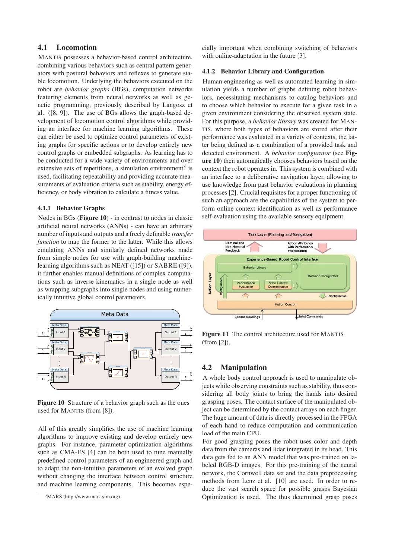#### 4.1 Locomotion

MANTIS possesses a behavior-based control architecture, combining various behaviors such as central pattern generators with postural behaviors and reflexes to generate stable locomotion. Underlying the behaviors executed on the robot are *behavior graphs* (BGs), computation networks featuring elements from neural networks as well as genetic programming, previously described by Langosz et al. ([8, 9]). The use of BGs allows the graph-based development of locomotion control algorithms while providing an interface for machine learning algorithms. These can either be used to optimize control parameters of existing graphs for specific actions or to develop entirely new control graphs or embedded subgraphs. As learning has to be conducted for a wide variety of environments and over extensive sets of repetitions, a simulation environment<sup>3</sup> is used, facilitating repeatability and providing accurate measurements of evaluation criteria such as stability, energy efficiency, or body vibration to calculate a fitness value.

#### 4.1.1 Behavior Graphs

Nodes in BGs (Figure 10) - in contrast to nodes in classic artificial neural networks (ANNs) - can have an arbitrary number of inputs and outputs and a freely definable *transfer function* to map the former to the latter. While this allows emulating ANNs and similarly defined networks made from simple nodes for use with graph-building machinelearning algorithms such as NEAT ([15]) or SABRE ([9]), it further enables manual definitions of complex computations such as inverse kinematics in a single node as well as wrapping subgraphs into single nodes and using numerically intuitive global control parameters.



Figure 10 Structure of a behavior graph such as the ones used for MANTIS (from [8]).

All of this greatly simplifies the use of machine learning algorithms to improve existing and develop entirely new graphs. For instance, parameter optimization algorithms such as CMA-ES [4] can be both used to tune manually predefined control parameters of an engineered graph and to adapt the non-intuitive parameters of an evolved graph without changing the interface between control structure and machine learning components. This becomes especially important when combining switching of behaviors with online-adaptation in the future [3].

#### 4.1.2 Behavior Library and Configuration

Human engineering as well as automated learning in simulation yields a number of graphs defining robot behaviors, necessitating mechanisms to catalog behaviors and to choose which behavior to execute for a given task in a given environment considering the observed system state. For this purpose, a *behavior library* was created for MAN-TIS, where both types of behaviors are stored after their performance was evaluated in a variety of contexts, the latter being defined as a combination of a provided task and detected environment. A *behavior configurator* (see Figure 10) then automatically chooses behaviors based on the context the robot operates in. This system is combined with an interface to a deliberative navigation layer, allowing to use knowledge from past behavior evaluations in planning processes [2]. Crucial requisites for a proper functioning of such an approach are the capabilities of the system to perform online context identification as well as performance self-evaluation using the available sensory equipment.



Figure 11 The control architecture used for MANTIS (from [2]).

#### 4.2 Manipulation

A whole body control approach is used to manipulate objects while observing constraints such as stability, thus considering all body joints to bring the hands into desired grasping poses. The contact surface of the manipulated object can be determined by the contact arrays on each finger. The huge amount of data is directly processed in the FPGA of each hand to reduce computation and communication load of the main CPU.

For good grasping poses the robot uses color and depth data from the cameras and lidar integrated in its head. This data gets fed to an ANN model that was pre-trained on labeled RGB-D images. For this pre-training of the neural network, the Cornwell data set and the data preprocessing methods from Lenz et al. [10] are used. In order to reduce the vast search space for possible grasps Bayesian Optimization is used. The thus determined grasp poses

<sup>3</sup>MARS (http://www.mars-sim.org)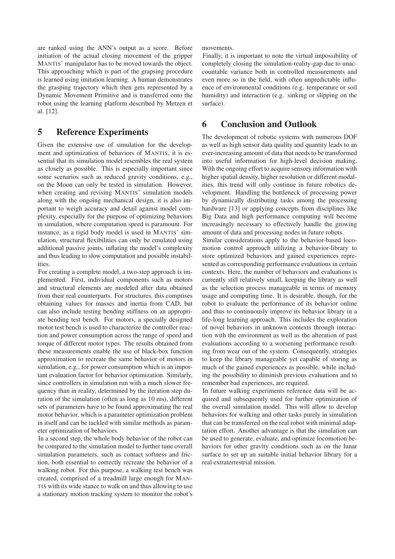are ranked using the ANN's output as a score. Before initiation of the actual closing movement of the gripper MANTIS' manipulator has to be moved towards the object. This approaching which is part of the grapsing procedure is learned using imitation learning. A human demonstrates the grasping trajectory which then gets represented by a Dynamic Movement Primitive and is transferred onto the robot using the learning platform described by Metzen et al. [12].

## 5 Reference Experiments

Given the extensive use of simulation for the development and optimization of behaviors of MANTIS, it is essential that its simulation model resembles the real system as closely as possible. This is especially important since some scenarios such as reduced gravity conditions, e.g., on the Moon can only be tested in simulation. However, when creating and revising MANTIS' simulation models along with the ongoing mechanical design, it is also important to weigh accuracy and detail against model complexity, especially for the purpose of optimizing behaviors in simulation, where computation speed is paramount. For instance, as a rigid body model is used in MANTIS' simulation, structural flexibilities can only be emulated using additional passive joints, inflating the model's complexity and thus leading to slow computation and possible instabilities.

For creating a complete model, a two-step approach is implemented. First, individual components such as motors and structural elements are modeled after data obtained from their real counterparts. For structures, this comprises obtaining values for masses and inertia from CAD, but can also include testing bending stiffness on an appropriate bending test bench. For motors, a specially designed motor test bench is used to characterize the controller reaction and power consumption across the range of speed and torque of different motor types. The results obtained from these measurements enable the use of black-box function approximation to recreate the same behavior of motors in simulation, e.g., for power consumption which is an important evaluation factor for behavior optimization. Similarly, since controllers in simulation run with a much slower frequency than in reality, determined by the iteration step duration of the simulation (often as long as 10 ms), different sets of parameters have to be found approximating the real motor behavior, which is a parameter optimization problem in itself and can be tackled with similar methods as parameter optimization of behaviors.

In a second step, the whole body behavior of the robot can be compared to the simulation model to further tune overall simulation parameters, such as contact softness and friction, both essential to correctly recreate the behavior of a walking robot. For this purpose, a walking test bench was created, comprised of a treadmill large enough for MAN-TIS with its wide stance to walk on and thus allowing to use a stationary motion tracking system to monitor the robot's movements.

Finally, it is important to note the virtual impossibility of completely closing the simulation-reality-gap due to unaccountable variance both in controlled measurements and even more so in the field, with often unpredictable influence of environmental conditions (e.g. temperature or soil humidity) and interaction (e.g. sinking or slipping on the surface).

## 6 Conclusion and Outlook

The development of robotic systems with numerous DOF as well as high sensor data quality and quantity leads to an ever-increasing amount of data that needs to be transformed into useful information for high-level decision making. With the ongoing effort to acquire sensory information with higher spatial density, higher resolution or different modalities, this trend will only continue in future robotics development. Handling the bottleneck of processing power by dynamically distributing tasks among the processing hardware [13] or applying concepts from disciplines like Big Data and high performance computing will become increasingly necessary to effectively handle the growing amount of data and processing nodes in future robots.

Similar considerations apply to the behavior-based locomotion control approach utilizing a behavior-library to store optimized behaviors and gained experiences represented as corresponding performance evaluations in certain contexts. Here, the number of behaviors and evaluations is currently still relatively small, keeping the library as well as the selection process manageable in terms of memory usage and computing time. It is desirable, though, for the robot to evaluate the performance of its behavior online and thus to continuously improve its behavior library in a life-long learning approach. This includes the exploration of novel behaviors in unknown contexts through interaction with the environment as well as the alteration of past evaluations according to a worsening performance resulting from wear out of the system. Consequently, strategies to keep the library manageable yet capable of storing as much of the gained experiences as possible, while including the possibility to diminish previous evaluations and to remember bad experiences, are required.

In future walking experiments reference data will be acquired and subsequently used for further optimization of the overall simulation model. This will allow to develop behaviors for walking and other tasks purely in simulation that can be transferred on the real robot with minimal adaptation effort. Another advantage is that the simulation can be used to generate, evaluate, and optimize locomotion behaviors for other gravity conditions such as on the lunar surface to set up an suitable initial behavior library for a real extraterrestrial mission.